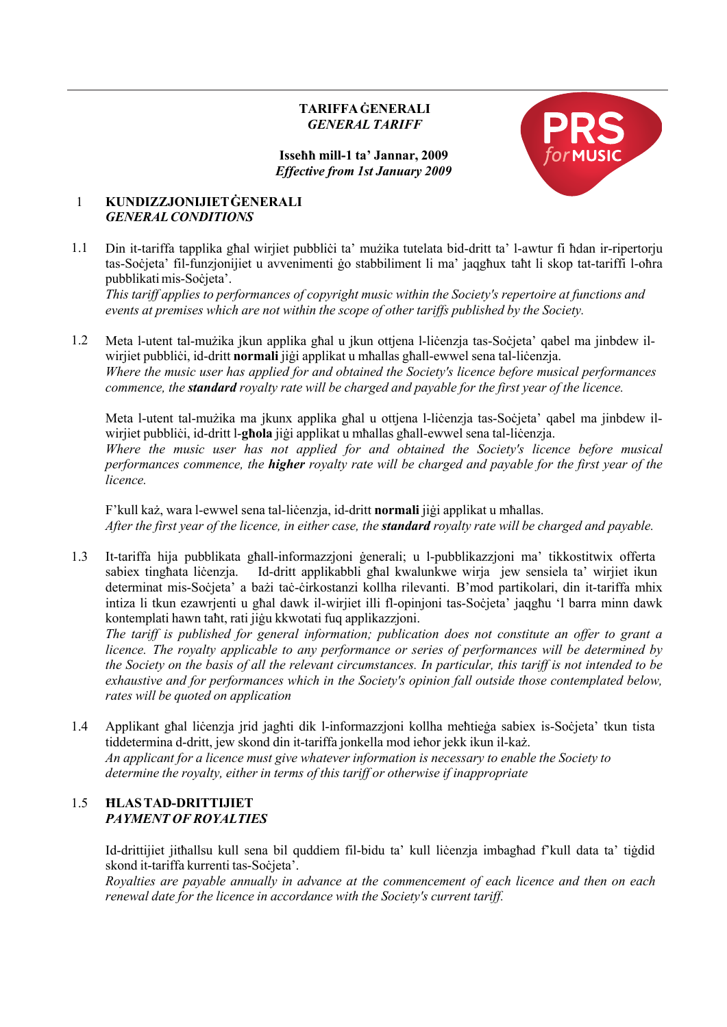# **TARIFFA ĠENERALI** *GENERAL TARIFF*

## **Isseħħ mill-1 ta' Jannar, 2009** *Effective from 1st January 2009*



## 1 **KUNDIZZJONIJIETĠENERALI** *GENERALCONDITIONS*

1.1 Din it-tariffa tapplika għal wirjiet pubbliċi ta' mużika tutelata bid-dritt ta' l-awtur fi ħdan ir-ripertorju tas-Soċjeta' fil-funzjonijiet u avvenimenti ġo stabbiliment li ma' jaqgħux taħt li skop tat-tariffi l-oħra pubblikatimis-Soċjeta'.

*This tariff applies to performances of copyright music within the Society's repertoire at functions and events at premises which are not within the scope of other tariffs published by the Society.*

1.2 Meta l-utent tal-mużika jkun applika għal u jkun ottjena l-liċenzja tas-Soċjeta' qabel ma jinbdew ilwirjiet pubbliċi, id-dritt **normali** jiġi applikat u mħallas għall-ewwel sena tal-liċenzja. *Where the music user has applied for and obtained the Society's licence before musical performances commence, the standard royalty rate will be charged and payable for the first year of the licence.*

Meta l-utent tal-mużika ma jkunx applika għal u ottjena l-liċenzja tas-Soċjeta' qabel ma jinbdew ilwirjiet pubbliċi, id-dritt l-**għola** jiġi applikat u mħallas għall-ewwel sena tal-liċenzja. *Where the music user has not applied for and obtained the Society's licence before musical performances commence, the higher royalty rate will be charged and payable for the first year of the licence.*

F'kull każ, wara l-ewwel sena tal-liċenzja, id-dritt **normali** jiġi applikat u mħallas. After the first year of the licence, in either case, the **standard** royalty rate will be charged and payable.

1.3 It-tariffa hija pubblikata għall-informazzjoni ġenerali; u l-pubblikazzjoni ma' tikkostitwix offerta sabiex tingħata liċenzja. Id-dritt applikabbli għal kwalunkwe wirja jew sensiela ta' wirjiet ikun determinat mis-Soċjeta' a bażi taċ-ċirkostanzi kollha rilevanti. B'mod partikolari, din it-tariffa mhix intiza li tkun ezawrjenti u għal dawk il-wirjiet illi fl-opinjoni tas-Soċjeta' jaqgħu 'l barra minn dawk kontemplati hawn taħt, rati jiġu kkwotati fuq applikazzjoni.

*The tariff is published for general information; publication does not constitute an offer to grant a licence. The royalty applicable to any performance or series of performances will be determined by the Society on the basis of all the relevant circumstances. In particular, this tariff is not intended to be exhaustive and for performances which in the Society's opinion fall outside those contemplated below, rates will be quoted on application*

1.4 Applikant għal liċenzja jrid jagħti dik l-informazzjoni kollha meħtieġa sabiex is-Soċjeta' tkun tista tiddetermina d-dritt, jew skond din it-tariffa jonkella mod ieħor jekk ikun il-każ. *An applicant for a licence must give whatever information is necessary to enable the Society to determine the royalty, either in terms of this tariff or otherwise if inappropriate*

# 1.5 **ĦLASTAD-DRITTIJIET** *PAYMENT OF ROYALTIES*

Id-drittijiet jitħallsu kull sena bil quddiem fil-bidu ta' kull liċenzja imbagħad f'kull data ta' tiġdid skond it-tariffa kurrenti tas-Soċjeta'.

*Royalties are payable annually in advance at the commencement of each licence and then on each renewal date for the licence in accordance with the Society's current tariff.*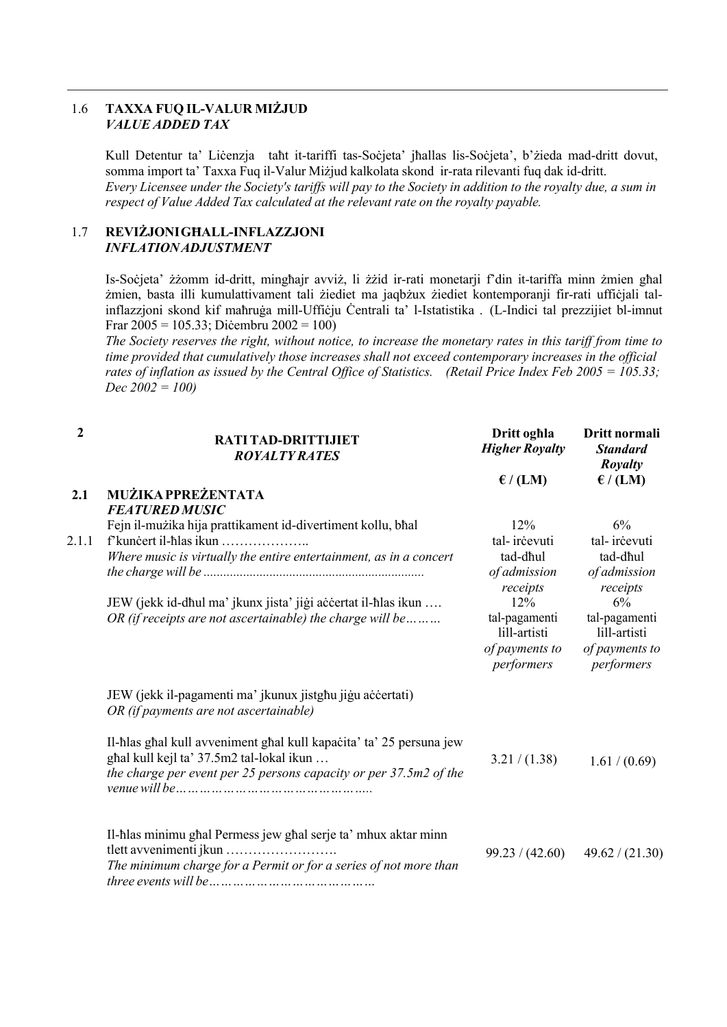## 1.6 **TAXXA FUQ IL-VALUR MIŻJUD** *VALUE ADDED TAX*

Kull Detentur ta' Liċenzja taħt it-tariffi tas-Soċjeta' jħallas lis-Soċjeta', b'żieda mad-dritt dovut, somma import ta' Taxxa Fuq il-Valur Miżjud kalkolata skond ir-rata rilevanti fuq dak id-dritt. Every Licensee under the Society's tariffs will pay to the Society in addition to the royalty due, a sum in *respect of Value Added Tax calculated at the relevant rate on the royalty payable.*

## 1.7 **REVIŻJONIGĦALL-INFLAZZJONI** *INFLATIONADJUSTMENT*

Is-Soċjeta' żżomm id-dritt, mingħajr avviż, li żżid ir-rati monetarji f'din it-tariffa minn żmien għal żmien, basta illi kumulattivament tali żiediet ma jaqbżux żiediet kontemporanji fir-rati uffiċjali talinflazzjoni skond kif maħruġa mill-Uffiċju Ċentrali ta' l-Istatistika . (L-Indici tal prezzijiet bl-imnut Frar 2005 = 105.33; Diċembru 2002 = 100)

The Society reserves the right, without notice, to increase the monetary rates in this tariff from time to *time provided that cumulatively those increases shall not exceed contemporary increases in the official* rates of inflation as issued by the Central Office of Statistics. (Retail Price Index Feb 2005 = 105.33; *Dec 2002 = 100)*

| $\mathbf{2}$ | RATI TAD-DRITTIJIET<br><b>ROYALTY RATES</b>                         | Dritt oghla<br><b>Higher Royalty</b> | Dritt normali<br><b>Standard</b><br><b>Royalty</b> |
|--------------|---------------------------------------------------------------------|--------------------------------------|----------------------------------------------------|
|              |                                                                     | $\mathcal{E}/(LM)$                   | $\epsilon$ / (LM)                                  |
| 2.1          | MUŻIKA PPREŻENTATA                                                  |                                      |                                                    |
|              | <b>FEATURED MUSIC</b>                                               |                                      |                                                    |
|              | Fejn il-mużika hija prattikament id-divertiment kollu, bhal         | 12%                                  | 6%                                                 |
| 2.1.1        | f'kuncert il-hlas ikun                                              | tal-ircevuti                         | tal-ircevuti                                       |
|              | Where music is virtually the entire entertainment, as in a concert  | tad-dhul                             | tad-dhul                                           |
|              |                                                                     | of admission<br>receipts             | of admission<br>receipts                           |
|              | JEW (jekk id-dhul ma' jkunx jista' jiği accertat il-hlas ikun       | 12%                                  | 6%                                                 |
|              | OR (if receipts are not ascertainable) the charge will be           | tal-pagamenti                        | tal-pagamenti                                      |
|              |                                                                     | lill-artisti                         | lill-artisti                                       |
|              |                                                                     | of payments to<br>performers         | of payments to<br>performers                       |
|              | JEW (jekk il-pagamenti ma' jkunux jistghu jigu accertati)           |                                      |                                                    |
|              | OR (if payments are not ascertainable)                              |                                      |                                                    |
|              | Il-hlas ghal kull avveniment ghal kull kapacita' ta' 25 persuna jew |                                      |                                                    |
|              | ghal kull kejl ta' 37.5m2 tal-lokal ikun                            | 3.21 / (1.38)                        | 1.61 / (0.69)                                      |
|              | the charge per event per 25 persons capacity or per 37.5m2 of the   |                                      |                                                    |
|              |                                                                     |                                      |                                                    |
|              | Il-hlas minimu ghal Permess jew ghal serje ta' mhux aktar minn      |                                      |                                                    |
|              | tlett avvenimenti jkun                                              | 99.23 / (42.60)                      | 49.62 / (21.30)                                    |
|              | The minimum charge for a Permit or for a series of not more than    |                                      |                                                    |
|              |                                                                     |                                      |                                                    |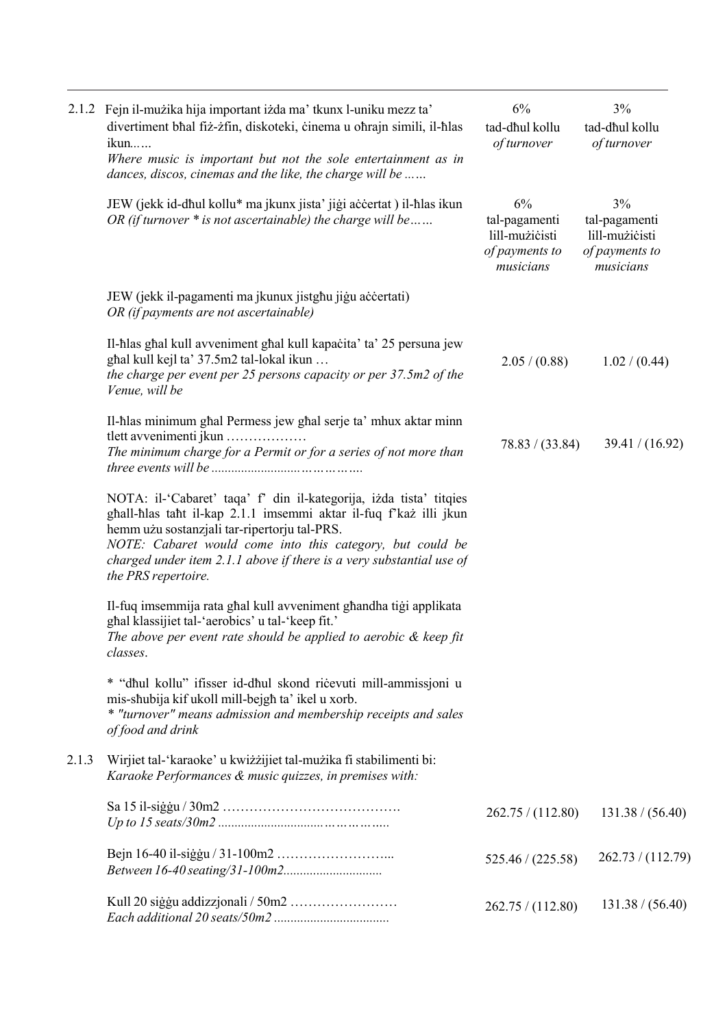|       | 2.1.2 Fejn il-mużika hija important iżda ma' tkunx l-uniku mezz ta'<br>divertiment bhal fiż-żfin, diskoteki, cinema u ohrajn simili, il-hlas<br>ikun<br>Where music is important but not the sole entertainment as in<br>dances, discos, cinemas and the like, the charge will be                                                                     | $6\%$<br>tad-dhul kollu<br>of turnover                               | 3%<br>tad-dhul kollu<br>of turnover                                  |
|-------|-------------------------------------------------------------------------------------------------------------------------------------------------------------------------------------------------------------------------------------------------------------------------------------------------------------------------------------------------------|----------------------------------------------------------------------|----------------------------------------------------------------------|
|       | JEW (jekk id-dhul kollu* ma jkunx jista' jiği accertat ) il-hlas ikun<br>OR (if turnover $*$ is not ascertainable) the charge will be                                                                                                                                                                                                                 | 6%<br>tal-pagamenti<br>lill-mużicisti<br>of payments to<br>musicians | 3%<br>tal-pagamenti<br>lill-mużicisti<br>of payments to<br>musicians |
|       | JEW (jekk il-pagamenti ma jkunux jistghu jigu accertati)<br>OR (if payments are not ascertainable)                                                                                                                                                                                                                                                    |                                                                      |                                                                      |
|       | Il-hlas ghal kull avveniment ghal kull kapacita' ta' 25 persuna jew<br>ghal kull kejl ta' 37.5m2 tal-lokal ikun<br>the charge per event per 25 persons capacity or per 37.5m2 of the<br>Venue, will be                                                                                                                                                | 2.05 / (0.88)                                                        | 1.02 / (0.44)                                                        |
|       | Il-hlas minimum ghal Permess jew ghal serje ta' mhux aktar minn<br>tlett avvenimenti jkun<br>The minimum charge for a Permit or for a series of not more than                                                                                                                                                                                         | 78.83 / (33.84)                                                      | 39.41 / (16.92)                                                      |
|       | NOTA: il-'Cabaret' taqa' f' din il-kategorija, izda tista' titqies<br>ghall-hlas taht il-kap 2.1.1 imsemmi aktar il-fuq f'każ illi jkun<br>hemm użu sostanzjali tar-ripertorju tal-PRS.<br>NOTE: Cabaret would come into this category, but could be<br>charged under item $2.1.1$ above if there is a very substantial use of<br>the PRS repertoire. |                                                                      |                                                                      |
|       | Il-fuq imsemmija rata ghal kull avveniment ghandha tigi applikata<br>ghal klassijiet tal-'aerobics' u tal-'keep fit.'<br>The above per event rate should be applied to aerobic $\&$ keep fit<br>classes.                                                                                                                                              |                                                                      |                                                                      |
|       | * "dhul kollu" ifisser id-dhul skond ricevuti mill-ammissjoni u<br>mis-shubija kif ukoll mill-bejgh ta' ikel u xorb.<br>* "turnover" means admission and membership receipts and sales<br>of food and drink                                                                                                                                           |                                                                      |                                                                      |
| 2.1.3 | Wirjiet tal-'karaoke' u kwiżżijiet tal-mużika fi stabilimenti bi:<br>Karaoke Performances & music quizzes, in premises with:                                                                                                                                                                                                                          |                                                                      |                                                                      |
|       |                                                                                                                                                                                                                                                                                                                                                       | 262.75 / (112.80)                                                    | 131.38 / (56.40)                                                     |
|       |                                                                                                                                                                                                                                                                                                                                                       | 525.46 / (225.58)                                                    | 262.73 / (112.79)                                                    |
|       |                                                                                                                                                                                                                                                                                                                                                       | 262.75 / (112.80)                                                    | 131.38 / (56.40)                                                     |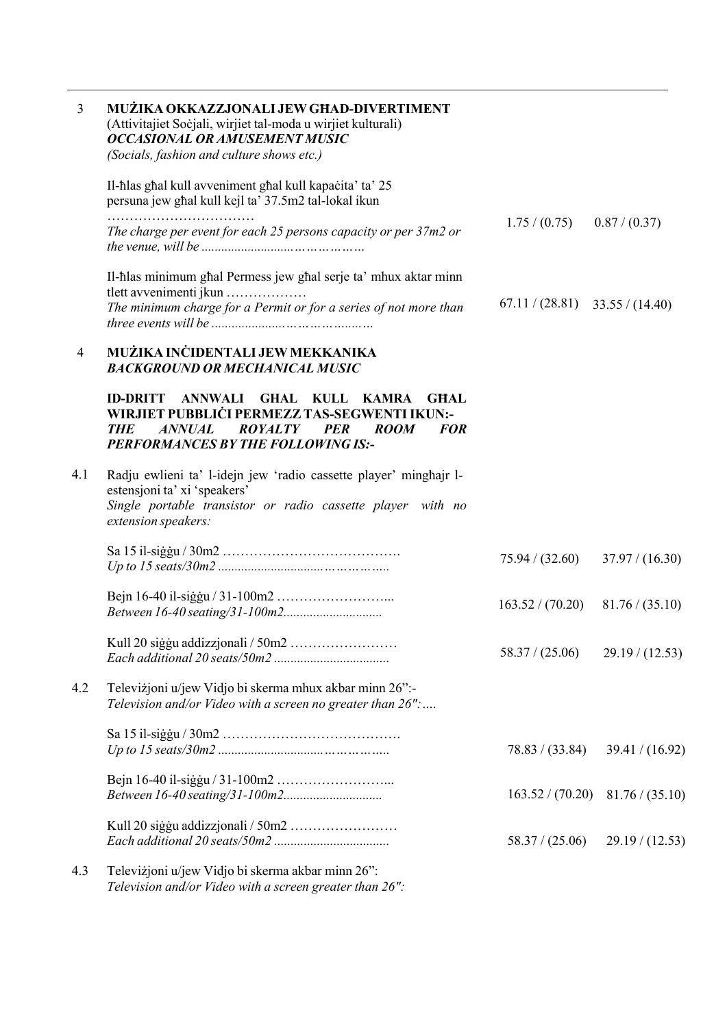| $\overline{3}$ | MUŻIKA OKKAZZJONALI JEW GHAD-DIVERTIMENT<br>(Attivitajiet Sočjali, wirjiet tal-moda u wirjiet kulturali)<br><b>OCCASIONAL OR AMUSEMENT MUSIC</b><br>(Socials, fashion and culture shows etc.)                                                  |                  |                 |
|----------------|------------------------------------------------------------------------------------------------------------------------------------------------------------------------------------------------------------------------------------------------|------------------|-----------------|
|                | Il-hlas ghal kull avveniment ghal kull kapacita' ta' 25<br>persuna jew ghal kull kejl ta' 37.5m2 tal-lokal ikun                                                                                                                                |                  |                 |
|                | The charge per event for each 25 persons capacity or per 37m2 or                                                                                                                                                                               | 1.75 / (0.75)    | 0.87 / (0.37)   |
|                | Il-hlas minimum ghal Permess jew ghal serje ta' mhux aktar minn<br>tlett avvenimenti jkun<br>The minimum charge for a Permit or for a series of not more than                                                                                  | 67.11 / (28.81)  | 33.55 / (14.40) |
| 4              | MUŻIKA INCIDENTALI JEW MEKKANIKA<br><b>BACKGROUND OR MECHANICAL MUSIC</b>                                                                                                                                                                      |                  |                 |
|                | ANNWALI GHAL<br><b>ID-DRITT</b><br>KULL KAMRA<br><b>GHAL</b><br>WIRJIET PUBBLICI PERMEZZ TAS-SEGWENTI IKUN:-<br><b>ROYALTY</b><br><b>ANNUAL</b><br><b>PER</b><br><b>ROOM</b><br><b>FOR</b><br><b>THE</b><br>PERFORMANCES BY THE FOLLOWING IS:- |                  |                 |
| 4.1            | Radju ewlieni ta' l-idejn jew 'radio cassette player' minghajr l-<br>estensjoni ta' xi 'speakers'<br>Single portable transistor or radio cassette player with no<br>extension speakers:                                                        |                  |                 |
|                |                                                                                                                                                                                                                                                | 75.94 / (32.60)  | 37.97 / (16.30) |
|                |                                                                                                                                                                                                                                                | 163.52 / (70.20) | 81.76 / (35.10) |
|                | Kull 20 siģģu addizzjonali / 50m2                                                                                                                                                                                                              | 58.37 / (25.06)  | 29.19 / (12.53) |
| 4.2            | Televizjoni u/jew Vidjo bi skerma mhux akbar minn 26":-<br>Television and/or Video with a screen no greater than 26":                                                                                                                          |                  |                 |
|                |                                                                                                                                                                                                                                                | 78.83 / (33.84)  | 39.41 / (16.92) |
|                |                                                                                                                                                                                                                                                | 163.52 / (70.20) | 81.76 / (35.10) |
|                |                                                                                                                                                                                                                                                | 58.37 / (25.06)  | 29.19 / (12.53) |
| 4.3            | Televiżjoni u/jew Vidjo bi skerma akbar minn 26":                                                                                                                                                                                              |                  |                 |

*Television and/or Video with a screen greater than 26":*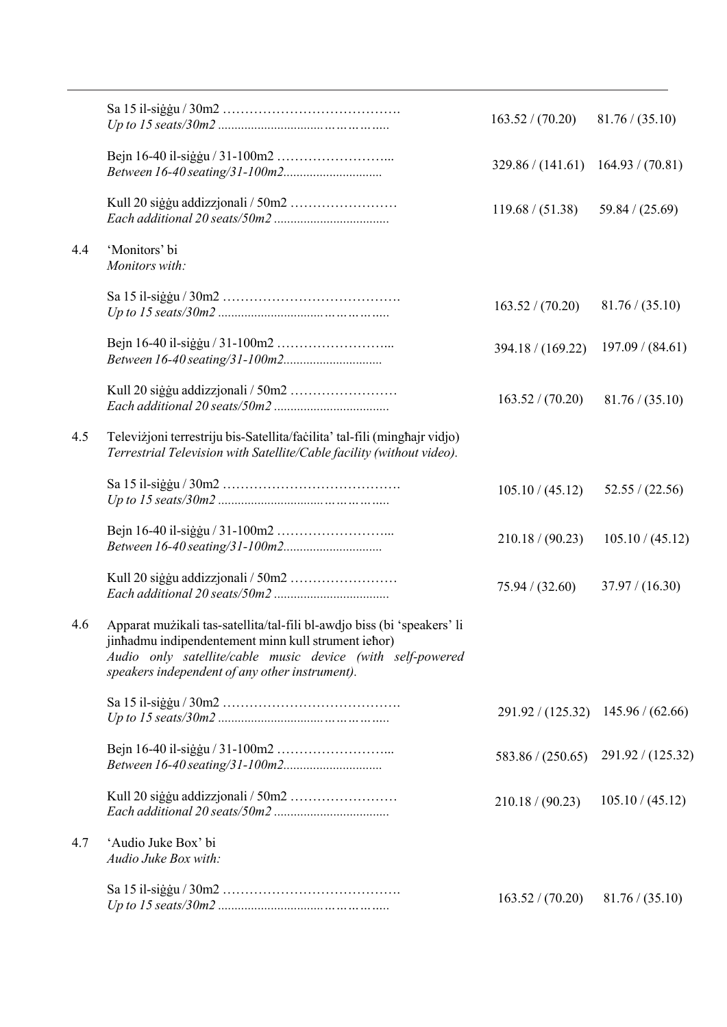|     |                                                                                                                                                                                                                                                | 163.52 / (70.20)                       | 81.76 / (35.10)   |
|-----|------------------------------------------------------------------------------------------------------------------------------------------------------------------------------------------------------------------------------------------------|----------------------------------------|-------------------|
|     |                                                                                                                                                                                                                                                | $329.86 / (141.61)$ $164.93 / (70.81)$ |                   |
|     |                                                                                                                                                                                                                                                | 119.68 / (51.38)                       | 59.84 / (25.69)   |
| 4.4 | 'Monitors' bi<br>Monitors with:                                                                                                                                                                                                                |                                        |                   |
|     |                                                                                                                                                                                                                                                | 163.52 / (70.20)                       | 81.76 / (35.10)   |
|     |                                                                                                                                                                                                                                                | 394.18 / (169.22)                      | 197.09 / (84.61)  |
|     |                                                                                                                                                                                                                                                | 163.52 / (70.20)                       | 81.76 / (35.10)   |
| 4.5 | Televizjoni terrestriju bis-Satellita/facilita' tal-fili (minghajr vidjo)<br>Terrestrial Television with Satellite/Cable facility (without video).                                                                                             |                                        |                   |
|     |                                                                                                                                                                                                                                                | 105.10 / (45.12)                       | 52.55 / (22.56)   |
|     |                                                                                                                                                                                                                                                | 210.18 / (90.23)                       | 105.10 / (45.12)  |
|     |                                                                                                                                                                                                                                                | 75.94 / (32.60)                        | 37.97 / (16.30)   |
| 4.6 | Apparat mużikali tas-satellita/tal-fili bl-awdjo biss (bi 'speakers' li<br>jinhadmu indipendentement minn kull strument iehor)<br>Audio only satellite/cable music device (with self-powered<br>speakers independent of any other instrument). |                                        |                   |
|     |                                                                                                                                                                                                                                                | 291.92 / (125.32)                      | 145.96 / (62.66)  |
|     |                                                                                                                                                                                                                                                | 583.86 / (250.65)                      | 291.92 / (125.32) |
|     |                                                                                                                                                                                                                                                | 210.18 / (90.23)                       | 105.10 / (45.12)  |
| 4.7 | 'Audio Juke Box' bi<br>Audio Juke Box with:                                                                                                                                                                                                    |                                        |                   |
|     |                                                                                                                                                                                                                                                | 163.52 / (70.20)                       | 81.76 / (35.10)   |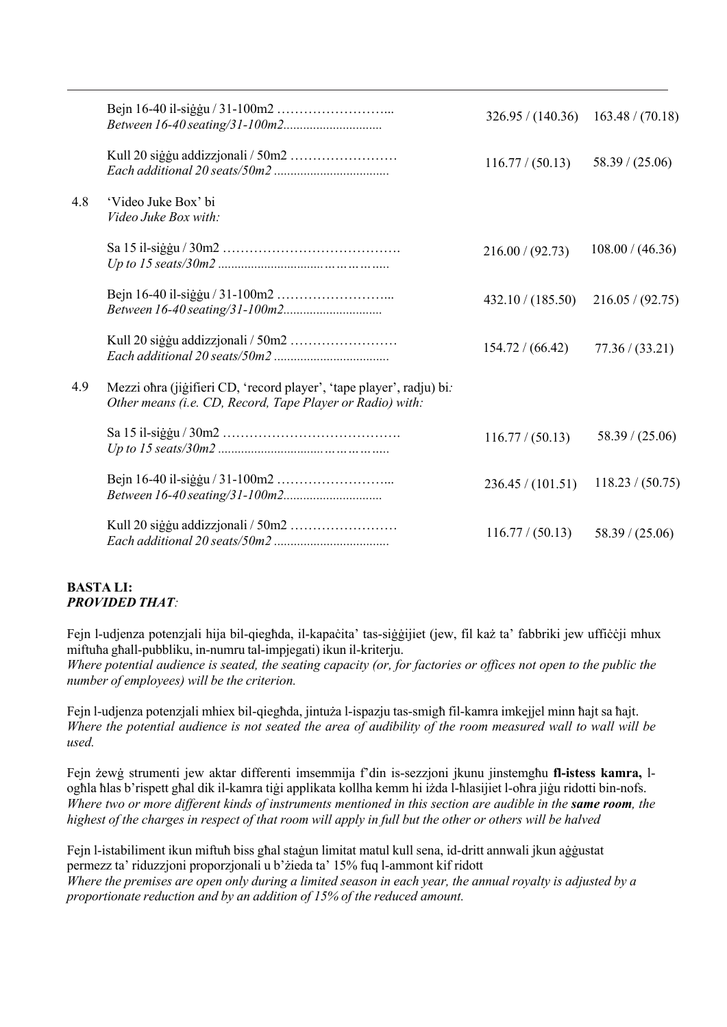|     |                                                                                                                                   | 326.95 / (140.36) | 163.48 / (70.18) |
|-----|-----------------------------------------------------------------------------------------------------------------------------------|-------------------|------------------|
|     |                                                                                                                                   | 116.77 / (50.13)  | 58.39 / (25.06)  |
| 4.8 | 'Video Juke Box' bi<br>Video Juke Box with:                                                                                       |                   |                  |
|     |                                                                                                                                   | 216.00 / (92.73)  | 108.00 / (46.36) |
|     |                                                                                                                                   | 432.10 / (185.50) | 216.05 / (92.75) |
|     |                                                                                                                                   | 154.72 / (66.42)  | 77.36 / (33.21)  |
| 4.9 | Mezzi ohra (jigifieri CD, 'record player', 'tape player', radju) bi.<br>Other means (i.e. CD, Record, Tape Player or Radio) with: |                   |                  |
|     |                                                                                                                                   | 116.77 / (50.13)  | 58.39 / (25.06)  |
|     |                                                                                                                                   | 236.45 / (101.51) | 118.23 / (50.75) |
|     |                                                                                                                                   | 116.77 / (50.13)  | 58.39 / (25.06)  |

### **BASTA LI:** *PROVIDED THAT:*

Fejn l-udjenza potenzjali hija bil-qiegħda, il-kapaċita' tas-siġġijiet (jew, fil każ ta' fabbriki jew uffiċċji mhux miftuħa għall-pubbliku, in-numru tal-impjegati) ikun il-kriterju.

Where potential audience is seated, the seating capacity (or, for factories or offices not open to the public the *number of employees) will be the criterion.*

Fejn l-udjenza potenzjali mhiex bil-qiegħda, jintuża l-ispazju tas-smigħ fil-kamra imkejjel minn ħajt sa ħajt. Where the potential audience is not seated the area of audibility of the room measured wall to wall will be *used.*

Fejn żewġ strumenti jew aktar differenti imsemmija f'din is-sezzjoni jkunu jinstemgħu **fl-istess kamra,** logħla ħlas b'rispett għal dik il-kamra tiġi applikata kollha kemm hi iżda l-ħlasijiet l-oħra jiġu ridotti bin-nofs. Where two or more different kinds of instruments mentioned in this section are audible in the same room, the highest of the charges in respect of that room will apply in full but the other or others will be halved

Fejn l-istabiliment ikun miftuħ biss għal staġun limitat matul kull sena, id-dritt annwali jkun aġġustat permezz ta' riduzzjoni proporzjonali u b'żieda ta' 15% fuq l-ammont kif ridott Where the premises are open only during a limited season in each year, the annual royalty is adjusted by a *proportionate reduction and by an addition of 15% of the reduced amount.*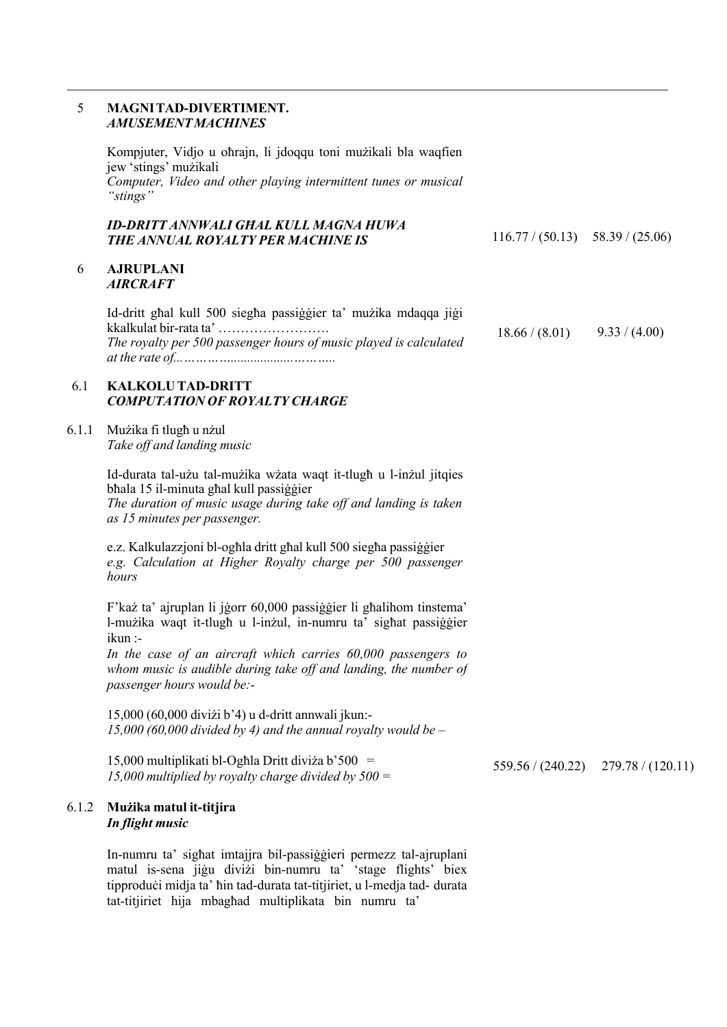#### 5 **MAGNITAD-DIVERTIMENT.** *AMUSEMENTMACHINES*

Kompjuter, Vidjo u oħrajn, li jdoqqu toni mużikali bla waqfien jew 'stings' mużikali *Computer, Video and other playing intermittent tunes or musical "stings"*

#### *ID-DRITT ANNWALI GĦAL KULL MAGNA HUWA* **THE ANNUAL ROYALTY PER MACHINE IS**

6 **AJRUPLANI** *AIRCRAFT*

> Id-dritt għal kull 500 siegħa passiġġier ta' mużika mdaqqa jiġi kkalkulat bir-rata ta' ……………………. *The royalty per 500 passenger hours of music played is calculated at the rate of...…………...................………..*  $18.66 / (8.01)$  9.33 / (4.00)

 $116.77 / (50.13)$  58.39 / (25.06)

### 6.1 **KALKOLUTAD-DRITT** *COMPUTATION OF ROYALTY CHARGE*

6.1.1 Mużika fi tlugħ u nżul *Take off and landing music*

> Id-durata tal-użu tal-mużika wżata waqt it-tlugħ u l-inżul jitqies bħala 15 il-minuta għal kull passiġġier *The duration of music usage during take off and landing is taken as 15 minutes per passenger.*

> e.z. Kalkulazzjoni bl-ogħla dritt għal kull 500 siegħa passiġġier *e.g. Calculation at Higher Royalty charge per 500 passenger hours*

F'każ ta' ajruplan li jġorr 60,000 passiġġier li għalihom tinstema' l-mużika waqt it-tlugħ u l-inżul, in-numru ta' sigħat passiġġier ikun :-

*In the case of an aircraft which carries 60,000 passengers to whom music is audible during take off and landing, the number of passenger hours would be:-*

15,000 (60,000 diviżi b'4) u d-dritt annwali jkun:- *15,000 (60,000 divided by 4) and the annual royalty would be –*

15,000 multiplikati bl-Ogħla Dritt diviża b'500 = *15,000 multiplied by royalty charge divided by <sup>500</sup> <sup>=</sup>* 559.56 / (240.22) 279.78 / (120.11)

#### 6.1.2 **Mużika matul it-titjira** *In flight music*

In-numru ta' sigħat imtajjra bil-passiġġieri permezz tal-ajruplani matul is-sena jiġu diviżi bin-numru ta' 'stage flights' biex tipproduċi midja ta' ħin tad-durata tat-titjiriet, u l-medja tad- durata tat-titjiriet hija mbagħad multiplikata bin numru ta'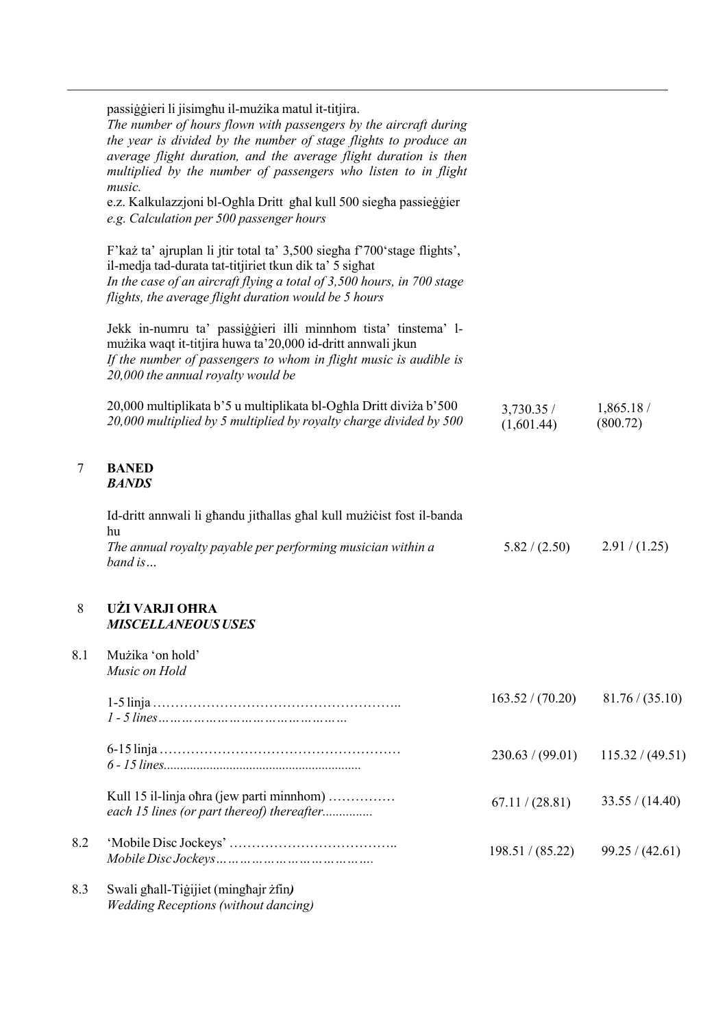passiġġieri li jisimgħu il-mużika matul it-titjira.

|     | passiggivn n psimgina n mazika matai it titjira.<br>The number of hours flown with passengers by the aircraft during<br>the year is divided by the number of stage flights to produce an<br>average flight duration, and the average flight duration is then<br>multiplied by the number of passengers who listen to in flight<br>music.<br>e.z. Kalkulazzjoni bl-Oghla Dritt ghal kull 500 siegha passieggier<br>e.g. Calculation per 500 passenger hours |                          |                       |
|-----|------------------------------------------------------------------------------------------------------------------------------------------------------------------------------------------------------------------------------------------------------------------------------------------------------------------------------------------------------------------------------------------------------------------------------------------------------------|--------------------------|-----------------------|
|     | F'każ ta' ajruplan li jtir total ta' 3,500 siegha f'700'stage flights',<br>il-medja tad-durata tat-titjiriet tkun dik ta' 5 sighat<br>In the case of an aircraft flying a total of 3,500 hours, in 700 stage<br>flights, the average flight duration would be 5 hours                                                                                                                                                                                      |                          |                       |
|     | Jekk in-numru ta' passiggieri illi minnhom tista' tinstema' l-<br>mużika waqt it-titjira huwa ta' 20,000 id-dritt annwali jkun<br>If the number of passengers to whom in flight music is audible is<br>20,000 the annual royalty would be                                                                                                                                                                                                                  |                          |                       |
|     | 20,000 multiplikata b'5 u multiplikata bl-Oghla Dritt diviza b'500<br>20,000 multiplied by 5 multiplied by royalty charge divided by 500                                                                                                                                                                                                                                                                                                                   | 3,730.35 /<br>(1,601.44) | 1,865.18/<br>(800.72) |
| 7   | <b>BANED</b><br><b>BANDS</b>                                                                                                                                                                                                                                                                                                                                                                                                                               |                          |                       |
|     | Id-dritt annwali li ghandu jithallas ghal kull muzicist fost il-banda<br>hu                                                                                                                                                                                                                                                                                                                                                                                |                          |                       |
|     | The annual royalty payable per performing musician within a<br>band is                                                                                                                                                                                                                                                                                                                                                                                     | 5.82 / (2.50)            | 2.91 / (1.25)         |
| 8   | UŻI VARJI OHRA<br><b>MISCELLANEOUS USES</b>                                                                                                                                                                                                                                                                                                                                                                                                                |                          |                       |
| 8.1 | Mużika 'on hold'<br>Music on Hold                                                                                                                                                                                                                                                                                                                                                                                                                          |                          |                       |
|     |                                                                                                                                                                                                                                                                                                                                                                                                                                                            | 163.52 / (70.20)         | 81.76 / (35.10)       |
|     |                                                                                                                                                                                                                                                                                                                                                                                                                                                            | 230.63 / (99.01)         | 115.32 / (49.51)      |
|     | Kull 15 il-linja ohra (jew parti minnhom)<br>each 15 lines (or part thereof) thereafter                                                                                                                                                                                                                                                                                                                                                                    | 67.11 / (28.81)          | 33.55 / (14.40)       |
| 8.2 |                                                                                                                                                                                                                                                                                                                                                                                                                                                            | 198.51 / (85.22)         | 99.25 / (42.61)       |
| 8.3 | Swali ghall-Tigijiet (minghajr żfin)                                                                                                                                                                                                                                                                                                                                                                                                                       |                          |                       |

*Wedding Receptions(without dancing)*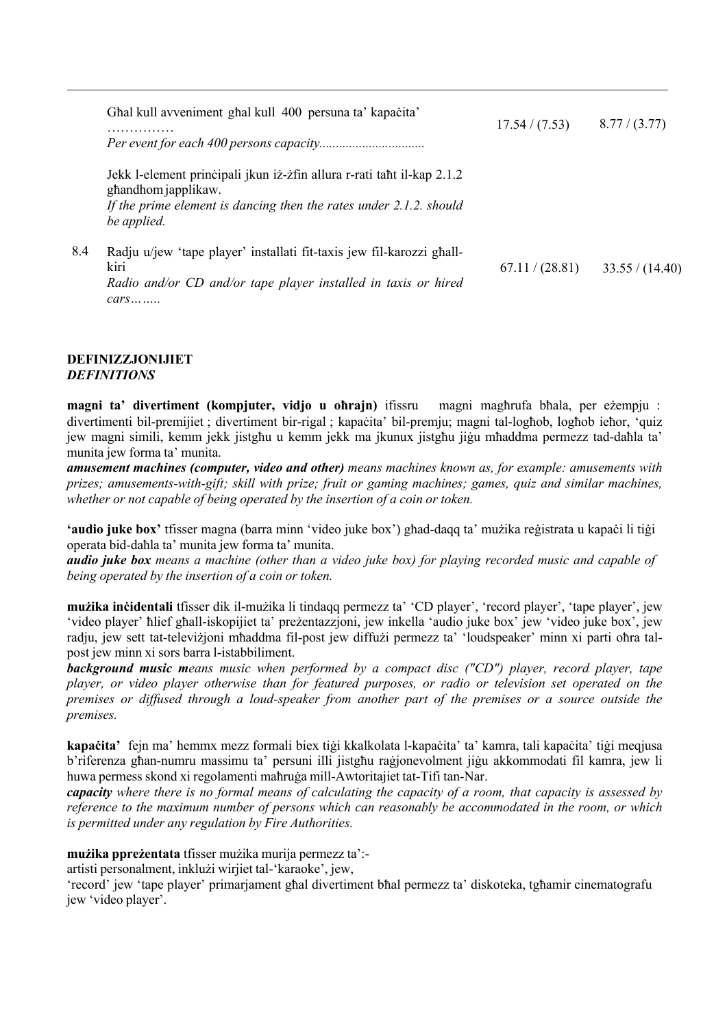|     | Ghal kull avveniment ghal kull 400 persuna ta' kapacita'                                                                                                                              | 17.54 / (7.53)  | 8.77 / (3.77)   |
|-----|---------------------------------------------------------------------------------------------------------------------------------------------------------------------------------------|-----------------|-----------------|
|     | Jekk l-element principali jkun iż-żfin allura r-rati taht il-kap 2.1.2<br>ghandhom japplikaw.<br>If the prime element is dancing then the rates under $2.1.2$ . should<br>be applied. |                 |                 |
| 8.4 | Radju u/jew 'tape player' installati fit-taxis jew fil-karozzi ghall-<br>kiri<br>Radio and/or CD and/or tape player installed in taxis or hired<br>$cars \dots \dots$                 | 67.11 / (28.81) | 33.55 / (14.40) |

### **DEFINIZZJONIJIET** *DEFINITIONS*

**magni ta' divertiment (kompjuter, vidjo u oħrajn)** ifissru magni magħrufa bħala, per eżempju : divertimenti bil-premijiet ; divertiment bir-rigal ; kapaċita' bil-premju; magni tal-logħob, logħob ieħor, 'quiz jew magni simili, kemm jekk jistgħu u kemm jekk ma jkunux jistgħu jiġu mħaddma permezz tad-daħla ta' munita jew forma ta' munita.

*amusement machines (computer, video and other) means machines known as, for example: amusements with prizes; amusements-with-gift; skill with prize; fruit or gaming machines; games, quiz and similar machines, whether or not capable of being operated by the insertion of a coin or token.*

**'audio juke box'** tfisser magna (barra minn 'video juke box') għad-daqq ta' mużika reġistrata u kapaċi li tiġi operata bid-daħla ta' munita jew forma ta' munita.

**audio juke box** means a machine (other than a video juke box) for playing recorded music and capable of *being operated by the insertion of a coin or token.*

**mużika inċidentali** tfisser dik il-mużika li tindaqq permezz ta' 'CD player', 'record player', 'tape player', jew 'video player' ħlief għall-iskopijiet ta' preżentazzjoni, jew inkella 'audio juke box' jew 'video juke box', jew radju, jew sett tat-televiżjoni mħaddma fil-post jew diffużi permezz ta' 'loudspeaker' minn xi parti oħra talpost jew minn xi sors barra l-istabbiliment.

*background music means music when performed by a compact disc ("CD") player, record player, tape player, or video player otherwise than for featured purposes, or radio or television set operated on the premises or diffused through a loud-speaker from another part of the premises or a source outside the premises.*

**kapaċita'** fejn ma' hemmx mezz formali biex tiġi kkalkolata l-kapaċita' ta' kamra, tali kapaċita' tiġi meqjusa b'riferenza għan-numru massimu ta' persuni illi jistgħu raġjonevolment jiġu akkommodati fil kamra, jew li huwa permess skond xi regolamenti maħruġa mill-Awtoritajiet tat-Tifi tan-Nar.

capacity where there is no formal means of calculating the capacity of a room, that capacity is assessed by *reference to the maximum number of persons which can reasonably be accommodated in the room, or which is permitted under any regulation by Fire Authorities.*

**mużika ppreżentata** tfisser mużika murija permezz ta':-

artisti personalment, inklużi wirjiet tal-'karaoke', jew,

'record' jew 'tape player' primarjament għal divertiment bħal permezz ta' diskoteka, tgħamir cinematografu jew 'video player'.